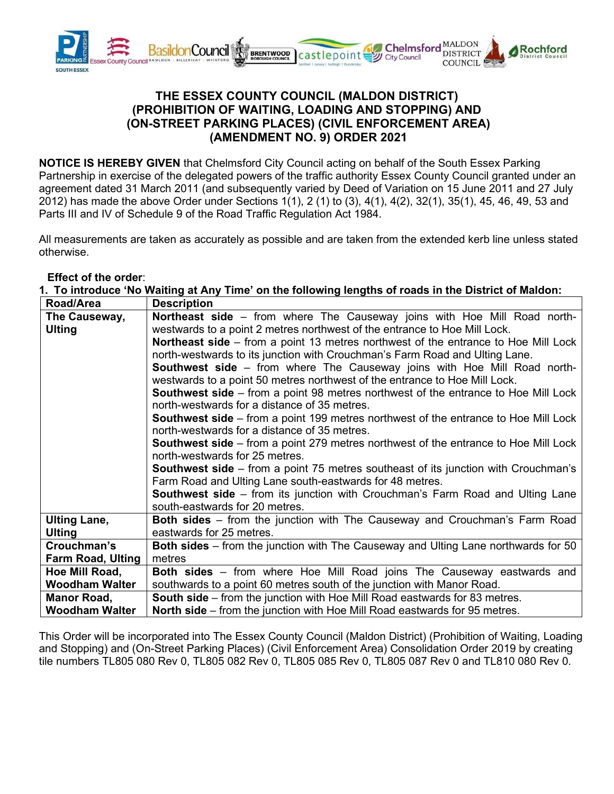

## **THE ESSEX COUNTY COUNCIL (MALDON DISTRICT) (PROHIBITION OF WAITING, LOADING AND STOPPING) AND (ON-STREET PARKING PLACES) (CIVIL ENFORCEMENT AREA) (AMENDMENT NO. 9) ORDER 2021**

**NOTICE IS HEREBY GIVEN** that Chelmsford City Council acting on behalf of the South Essex Parking Partnership in exercise of the delegated powers of the traffic authority Essex County Council granted under an agreement dated 31 March 2011 (and subsequently varied by Deed of Variation on 15 June 2011 and 27 July 2012) has made the above Order under Sections 1(1), 2 (1) to (3), 4(1), 4(2), 32(1), 35(1), 45, 46, 49, 53 and Parts III and IV of Schedule 9 of the Road Traffic Regulation Act 1984.

All measurements are taken as accurately as possible and are taken from the extended kerb line unless stated otherwise.

## **Effect of the order**:

| 1. To introduce 'No Waiting at Any Time' on the following lengths of roads in the District of Maldon: |                                                                                            |  |
|-------------------------------------------------------------------------------------------------------|--------------------------------------------------------------------------------------------|--|
| Road/Area                                                                                             | <b>Description</b>                                                                         |  |
| The Causeway,                                                                                         | <b>Northeast side</b> – from where The Causeway joins with Hoe Mill Road north-            |  |
| <b>Ulting</b>                                                                                         | westwards to a point 2 metres northwest of the entrance to Hoe Mill Lock.                  |  |
|                                                                                                       | <b>Northeast side</b> – from a point 13 metres northwest of the entrance to Hoe Mill Lock  |  |
|                                                                                                       | north-westwards to its junction with Crouchman's Farm Road and Ulting Lane.                |  |
|                                                                                                       | <b>Southwest side</b> – from where The Causeway joins with Hoe Mill Road north-            |  |
|                                                                                                       | westwards to a point 50 metres northwest of the entrance to Hoe Mill Lock.                 |  |
|                                                                                                       | <b>Southwest side</b> – from a point 98 metres northwest of the entrance to Hoe Mill Lock  |  |
|                                                                                                       | north-westwards for a distance of 35 metres.                                               |  |
|                                                                                                       | <b>Southwest side</b> – from a point 199 metres northwest of the entrance to Hoe Mill Lock |  |
|                                                                                                       | north-westwards for a distance of 35 metres.                                               |  |
|                                                                                                       | <b>Southwest side</b> – from a point 279 metres northwest of the entrance to Hoe Mill Lock |  |
|                                                                                                       | north-westwards for 25 metres.                                                             |  |
|                                                                                                       | <b>Southwest side</b> – from a point 75 metres southeast of its junction with Crouchman's  |  |
|                                                                                                       | Farm Road and Ulting Lane south-eastwards for 48 metres.                                   |  |
|                                                                                                       | <b>Southwest side</b> – from its junction with Crouchman's Farm Road and Ulting Lane       |  |
|                                                                                                       | south-eastwards for 20 metres.                                                             |  |
| <b>Ulting Lane,</b>                                                                                   | Both sides - from the junction with The Causeway and Crouchman's Farm Road                 |  |
| <b>Ulting</b>                                                                                         | eastwards for 25 metres.                                                                   |  |
| Crouchman's                                                                                           | Both sides – from the junction with The Causeway and Ulting Lane northwards for 50         |  |
| <b>Farm Road, Ulting</b>                                                                              | metres                                                                                     |  |
| Hoe Mill Road,                                                                                        | <b>Both sides</b> – from where Hoe Mill Road joins The Causeway eastwards and              |  |
| <b>Woodham Walter</b>                                                                                 | southwards to a point 60 metres south of the junction with Manor Road.                     |  |
| <b>Manor Road,</b>                                                                                    | <b>South side</b> – from the junction with Hoe Mill Road eastwards for 83 metres.          |  |
| <b>Woodham Walter</b>                                                                                 | <b>North side</b> – from the junction with Hoe Mill Road eastwards for 95 metres.          |  |

This Order will be incorporated into The Essex County Council (Maldon District) (Prohibition of Waiting, Loading and Stopping) and (On-Street Parking Places) (Civil Enforcement Area) Consolidation Order 2019 by creating tile numbers TL805 080 Rev 0, TL805 082 Rev 0, TL805 085 Rev 0, TL805 087 Rev 0 and TL810 080 Rev 0.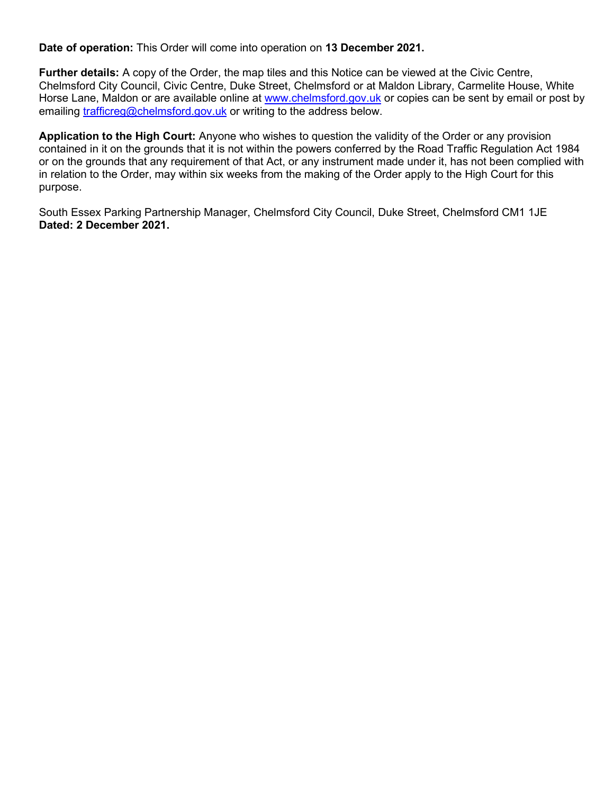**Date of operation:** This Order will come into operation on **13 December 2021.**

**Further details:** A copy of the Order, the map tiles and this Notice can be viewed at the Civic Centre, Chelmsford City Council, Civic Centre, Duke Street, Chelmsford or at Maldon Library, Carmelite House, White Horse Lane, Maldon or are available online at [www.chelmsford.gov.uk](http://www.chelmsford.gov.uk/) or copies can be sent by email or post by emailing [trafficreg@chelmsford.gov.uk](mailto:trafficreg@chelmsford.gov.uk) or writing to the address below.

**Application to the High Court:** Anyone who wishes to question the validity of the Order or any provision contained in it on the grounds that it is not within the powers conferred by the Road Traffic Regulation Act 1984 or on the grounds that any requirement of that Act, or any instrument made under it, has not been complied with in relation to the Order, may within six weeks from the making of the Order apply to the High Court for this purpose.

South Essex Parking Partnership Manager, Chelmsford City Council, Duke Street, Chelmsford CM1 1JE **Dated: 2 December 2021.**